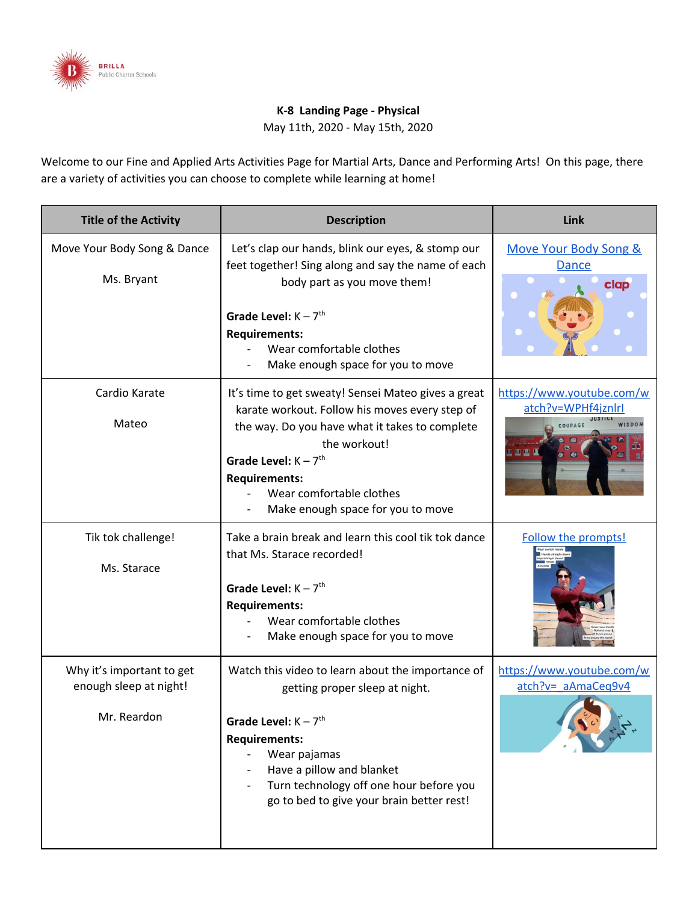

## **K-8 Landing Page - Physical**

May 11th, 2020 - May 15th, 2020

Welcome to our Fine and Applied Arts Activities Page for Martial Arts, Dance and Performing Arts! On this page, there are a variety of activities you can choose to complete while learning at home!

| <b>Title of the Activity</b>                                       | <b>Description</b>                                                                                                                                                                                                                                                                         | Link                                                                |
|--------------------------------------------------------------------|--------------------------------------------------------------------------------------------------------------------------------------------------------------------------------------------------------------------------------------------------------------------------------------------|---------------------------------------------------------------------|
| Move Your Body Song & Dance<br>Ms. Bryant                          | Let's clap our hands, blink our eyes, & stomp our<br>feet together! Sing along and say the name of each<br>body part as you move them!<br>Grade Level: $K - 7$ <sup>th</sup><br><b>Requirements:</b><br>Wear comfortable clothes<br>Make enough space for you to move                      | Move Your Body Song &<br><b>Dance</b><br>clap                       |
| Cardio Karate<br>Mateo                                             | It's time to get sweaty! Sensei Mateo gives a great<br>karate workout. Follow his moves every step of<br>the way. Do you have what it takes to complete<br>the workout!<br>Grade Level: $K - 7th$<br><b>Requirements:</b><br>Wear comfortable clothes<br>Make enough space for you to move | https://www.youtube.com/w<br>atch?v=WPHf4jznlrl<br>COURAGE<br>900 L |
| Tik tok challenge!<br>Ms. Starace                                  | Take a brain break and learn this cool tik tok dance<br>that Ms. Starace recorded!<br>Grade Level: $K - 7$ <sup>th</sup><br><b>Requirements:</b><br>Wear comfortable clothes<br>Make enough space for you to move                                                                          | Follow the prompts!                                                 |
| Why it's important to get<br>enough sleep at night!<br>Mr. Reardon | Watch this video to learn about the importance of<br>getting proper sleep at night.<br>Grade Level: $K - 7th$<br><b>Requirements:</b><br>Wear pajamas<br>Have a pillow and blanket<br>Turn technology off one hour before you<br>go to bed to give your brain better rest!                 | https://www.youtube.com/w<br>atch?v= aAmaCeg9v4                     |